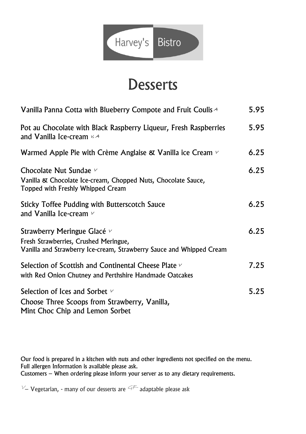

## **Desserts**

| Vanilla Panna Cotta with Blueberry Compote and Fruit Coulis A                                                                                | 5.95 |
|----------------------------------------------------------------------------------------------------------------------------------------------|------|
| Pot au Chocolate with Black Raspberry Liqueur, Fresh Raspberries<br>and Vanilla Ice-cream $44$                                               | 5.95 |
| Warmed Apple Pie with Crème Anglaise & Vanilla ice Cream $\vee$                                                                              | 6.25 |
| Chocolate Nut Sundae $\nu$<br>Vanilla & Chocolate Ice-cream, Chopped Nuts, Chocolate Sauce,<br>Topped with Freshly Whipped Cream             | 6.25 |
| <b>Sticky Toffee Pudding with Butterscotch Sauce</b><br>and Vanilla Ice-cream $\nu$                                                          | 6.25 |
| Strawberry Meringue Glacé v<br>Fresh Strawberries, Crushed Meringue,<br>Vanilla and Strawberry Ice-cream, Strawberry Sauce and Whipped Cream | 6.25 |
| Selection of Scottish and Continental Cheese Plate v<br>with Red Onion Chutney and Perthshire Handmade Oatcakes                              | 7.25 |
| Selection of Ices and Sorbet v<br>Choose Three Scoops from Strawberry, Vanilla,<br>Mint Choc Chip and Lemon Sorbet                           | 5.25 |

Our food is prepared in a kitchen with nuts and other ingredients not specified on the menu. Full allergen Information is available please ask. Customers – When ordering please inform your server as to any dietary requirements.

 $V$ – Vegetarian, - many of our desserts are  $G_F$  adaptable please ask